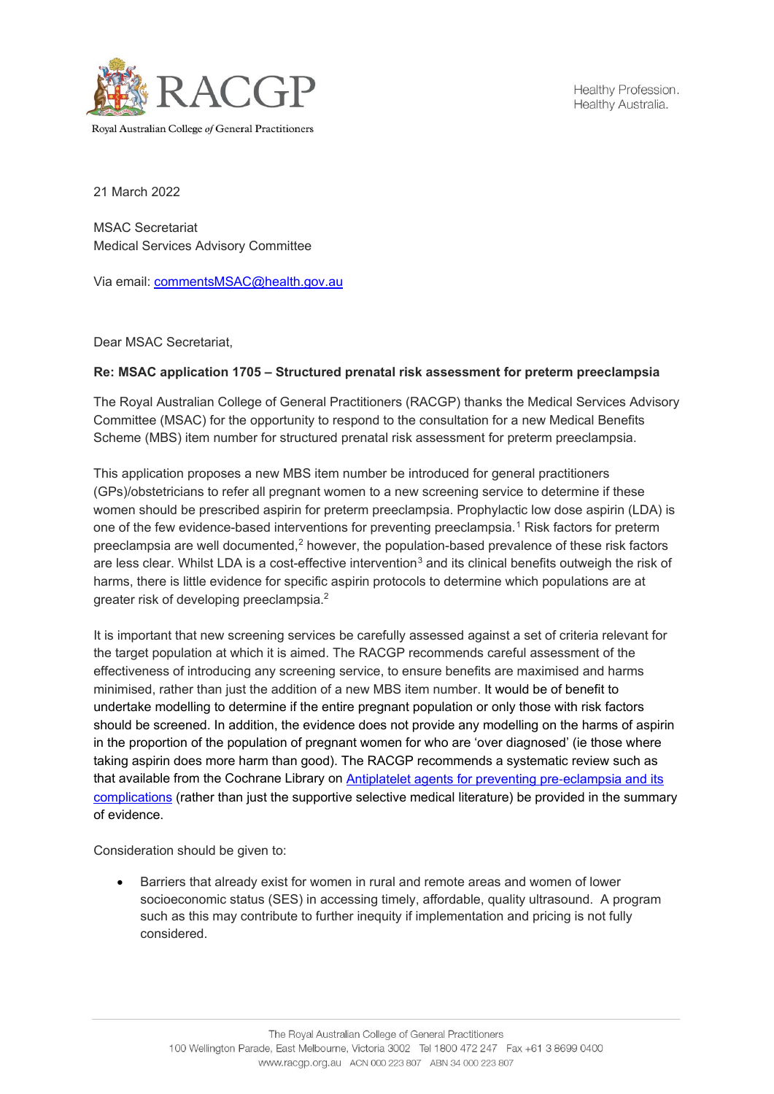

Healthy Profession. Healthy Australia.

21 March 2022

MSAC Secretariat Medical Services Advisory Committee

Via email: [commentsMSAC@health.gov.au](mailto:commentsMSAC@health.gov.au)

Dear MSAC Secretariat,

## **Re: MSAC application 1705 – Structured prenatal risk assessment for preterm preeclampsia**

The Royal Australian College of General Practitioners (RACGP) thanks the Medical Services Advisory Committee (MSAC) for the opportunity to respond to the consultation for a new Medical Benefits Scheme (MBS) item number for structured prenatal risk assessment for preterm preeclampsia.

This application proposes a new MBS item number be introduced for general practitioners (GPs)/obstetricians to refer all pregnant women to a new screening service to determine if these women should be prescribed aspirin for preterm preeclampsia. Prophylactic low dose aspirin (LDA) is one of the few evidence-based interventions for preventing preeclampsia.<sup>[1](#page-1-0)</sup> Risk factors for preterm preeclampsia are well documented,<sup>[2](#page-1-1)</sup> however, the population-based prevalence of these risk factors are less clear. Whilst LDA is a cost-effective intervention<sup>[3](#page-1-2)</sup> and its clinical benefits outweigh the risk of harms, there is little evidence for specific aspirin protocols to determine which populations are at greater risk of developing preeclampsia.2

It is important that new screening services be carefully assessed against a set of criteria relevant for the target population at which it is aimed. The RACGP recommends careful assessment of the effectiveness of introducing any screening service, to ensure benefits are maximised and harms minimised, rather than just the addition of a new MBS item number. It would be of benefit to undertake modelling to determine if the entire pregnant population or only those with risk factors should be screened. In addition, the evidence does not provide any modelling on the harms of aspirin in the proportion of the population of pregnant women for who are 'over diagnosed' (ie those where taking aspirin does more harm than good). The RACGP recommends a systematic review such as that available from the Cochrane Library on [Antiplatelet agents for preventing pre](https://www.cochranelibrary.com/cdsr/doi/10.1002/14651858.CD004659.pub3/full)-eclampsia and its [complications](https://www.cochranelibrary.com/cdsr/doi/10.1002/14651858.CD004659.pub3/full) (rather than just the supportive selective medical literature) be provided in the summary of evidence.

Consideration should be given to:

• Barriers that already exist for women in rural and remote areas and women of lower socioeconomic status (SES) in accessing timely, affordable, quality ultrasound. A program such as this may contribute to further inequity if implementation and pricing is not fully considered.